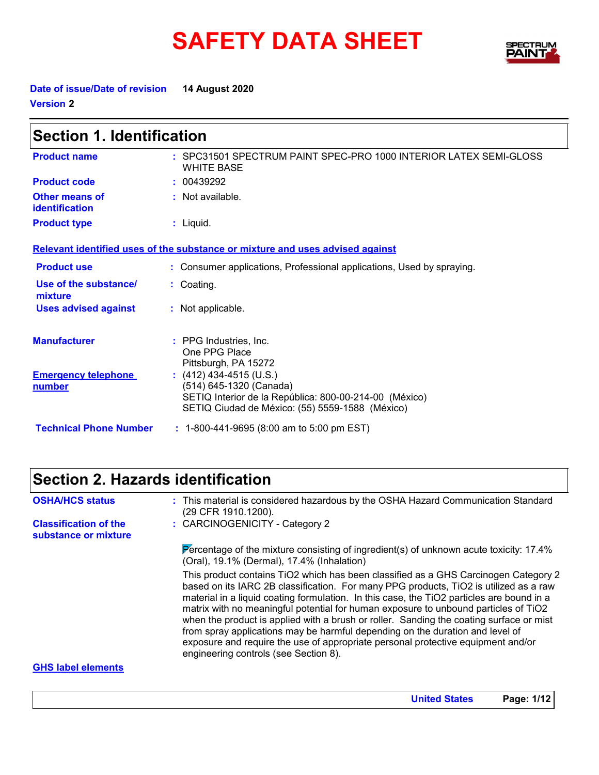# **SAFETY DATA SHEET**



**Date of issue/Date of revision 14 August 2020 Version 2**

| <b>Section 1. Identification</b>                  |                                                                                                                                      |  |
|---------------------------------------------------|--------------------------------------------------------------------------------------------------------------------------------------|--|
| <b>Product name</b>                               | : SPC31501 SPECTRUM PAINT SPEC-PRO 1000 INTERIOR LATEX SEMI-GLOSS<br><b>WHITE BASE</b>                                               |  |
| <b>Product code</b>                               | : 00439292                                                                                                                           |  |
| <b>Other means of</b><br>identification           | : Not available.                                                                                                                     |  |
| <b>Product type</b>                               | $:$ Liquid.                                                                                                                          |  |
|                                                   | Relevant identified uses of the substance or mixture and uses advised against                                                        |  |
| <b>Product use</b>                                | : Consumer applications, Professional applications, Used by spraying.                                                                |  |
| Use of the substance/<br>mixture                  | : Coating.                                                                                                                           |  |
| <b>Uses advised against</b>                       | : Not applicable.                                                                                                                    |  |
| <b>Manufacturer</b><br><b>Emergency telephone</b> | : PPG Industries, Inc.<br>One PPG Place<br>Pittsburgh, PA 15272<br>$(412)$ 434-4515 (U.S.)                                           |  |
| number                                            | (514) 645-1320 (Canada)<br>SETIQ Interior de la República: 800-00-214-00 (México)<br>SETIQ Ciudad de México: (55) 5559-1588 (México) |  |
| <b>Technical Phone Number</b>                     | : 1-800-441-9695 (8:00 am to 5:00 pm EST)                                                                                            |  |

# **Section 2. Hazards identification**

| <b>OSHA/HCS status</b>                               | : This material is considered hazardous by the OSHA Hazard Communication Standard<br>(29 CFR 1910.1200).                                                                                                                                                                                                                                                                                                                                                                                                                                                                                                                                                                  |
|------------------------------------------------------|---------------------------------------------------------------------------------------------------------------------------------------------------------------------------------------------------------------------------------------------------------------------------------------------------------------------------------------------------------------------------------------------------------------------------------------------------------------------------------------------------------------------------------------------------------------------------------------------------------------------------------------------------------------------------|
| <b>Classification of the</b><br>substance or mixture | : CARCINOGENICITY - Category 2                                                                                                                                                                                                                                                                                                                                                                                                                                                                                                                                                                                                                                            |
|                                                      | Percentage of the mixture consisting of ingredient(s) of unknown acute toxicity: $17.4\%$<br>(Oral), 19.1% (Dermal), 17.4% (Inhalation)                                                                                                                                                                                                                                                                                                                                                                                                                                                                                                                                   |
|                                                      | This product contains TiO2 which has been classified as a GHS Carcinogen Category 2<br>based on its IARC 2B classification. For many PPG products, TiO2 is utilized as a raw<br>material in a liquid coating formulation. In this case, the TiO2 particles are bound in a<br>matrix with no meaningful potential for human exposure to unbound particles of TiO2<br>when the product is applied with a brush or roller. Sanding the coating surface or mist<br>from spray applications may be harmful depending on the duration and level of<br>exposure and require the use of appropriate personal protective equipment and/or<br>engineering controls (see Section 8). |
| <b>GHS</b> label elements                            |                                                                                                                                                                                                                                                                                                                                                                                                                                                                                                                                                                                                                                                                           |

#### **GHS label elements**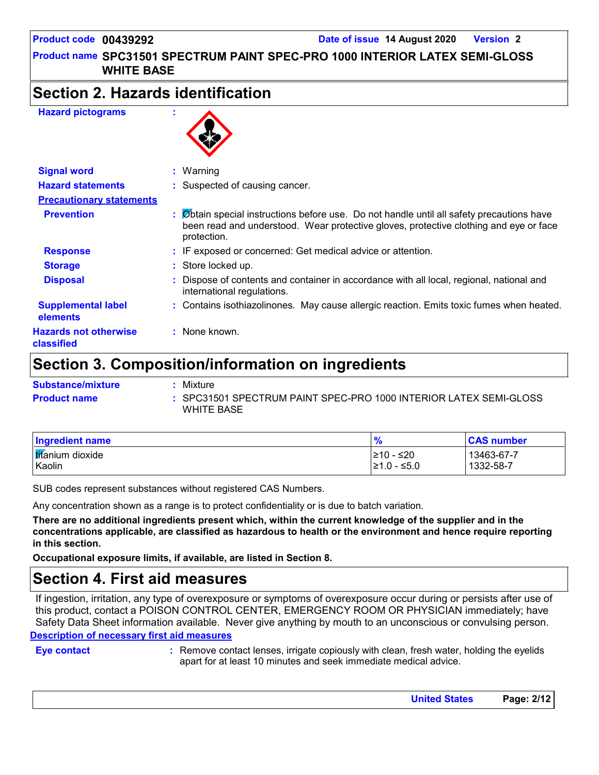# **Section 2. Hazards identification**

#### **Hazard pictograms :**



| <b>Signal word</b>                         | $:$ Warning                                                                                                                                                                                       |
|--------------------------------------------|---------------------------------------------------------------------------------------------------------------------------------------------------------------------------------------------------|
| <b>Hazard statements</b>                   | : Suspected of causing cancer.                                                                                                                                                                    |
| <b>Precautionary statements</b>            |                                                                                                                                                                                                   |
| <b>Prevention</b>                          | : Øbtain special instructions before use. Do not handle until all safety precautions have<br>been read and understood. Wear protective gloves, protective clothing and eye or face<br>protection. |
| <b>Response</b>                            | : IF exposed or concerned: Get medical advice or attention.                                                                                                                                       |
| <b>Storage</b>                             | : Store locked up.                                                                                                                                                                                |
| <b>Disposal</b>                            | Dispose of contents and container in accordance with all local, regional, national and<br>international regulations.                                                                              |
| <b>Supplemental label</b><br>elements      | : Contains isothiazolinones. May cause allergic reaction. Emits toxic fumes when heated.                                                                                                          |
| <b>Hazards not otherwise</b><br>classified | : None known.                                                                                                                                                                                     |

### **Section 3. Composition/information on ingredients**

| <b>Substance/mixture</b> | Mixture                                                                         |
|--------------------------|---------------------------------------------------------------------------------|
| <b>Product name</b>      | : SPC31501 SPECTRUM PAINT SPEC-PRO 1000 INTERIOR LATEX SEMI-GLOSS<br>WHITE BASE |

| <b>Ingredient name</b>   | $\frac{1}{2}$ | <b>CAS number</b> |
|--------------------------|---------------|-------------------|
| <b>Itifanium</b> dioxide | l≥10 - ≤20    | 13463-67-7        |
| Kaolin                   | l≥1.0 - ≤5.0  | 1332-58-7         |

SUB codes represent substances without registered CAS Numbers.

Any concentration shown as a range is to protect confidentiality or is due to batch variation.

**There are no additional ingredients present which, within the current knowledge of the supplier and in the concentrations applicable, are classified as hazardous to health or the environment and hence require reporting in this section.**

**Occupational exposure limits, if available, are listed in Section 8.**

### **Section 4. First aid measures**

**Description of necessary first aid measures** If ingestion, irritation, any type of overexposure or symptoms of overexposure occur during or persists after use of this product, contact a POISON CONTROL CENTER, EMERGENCY ROOM OR PHYSICIAN immediately; have Safety Data Sheet information available. Never give anything by mouth to an unconscious or convulsing person.

**Eye contact :**

Remove contact lenses, irrigate copiously with clean, fresh water, holding the eyelids apart for at least 10 minutes and seek immediate medical advice.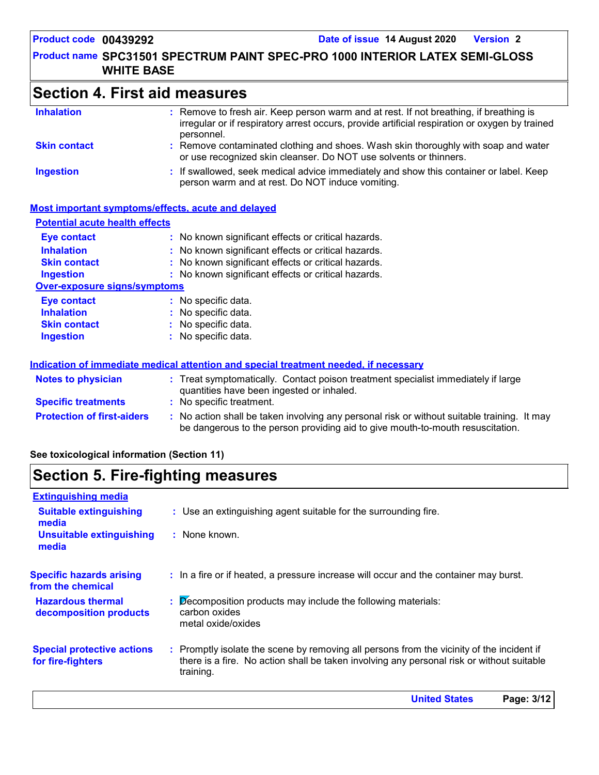| <b>Section 4. First aid measures</b> |                                                                                                                                                                                                        |  |
|--------------------------------------|--------------------------------------------------------------------------------------------------------------------------------------------------------------------------------------------------------|--|
| <b>Inhalation</b>                    | : Remove to fresh air. Keep person warm and at rest. If not breathing, if breathing is<br>irregular or if respiratory arrest occurs, provide artificial respiration or oxygen by trained<br>personnel. |  |
| <b>Skin contact</b>                  | : Remove contaminated clothing and shoes. Wash skin thoroughly with soap and water<br>or use recognized skin cleanser. Do NOT use solvents or thinners.                                                |  |
| <b>Ingestion</b>                     | : If swallowed, seek medical advice immediately and show this container or label. Keep<br>person warm and at rest. Do NOT induce vomiting.                                                             |  |

#### **Most important symptoms/effects, acute and delayed**

| <b>Potential acute health effects</b> |                                                                                                                                                                               |
|---------------------------------------|-------------------------------------------------------------------------------------------------------------------------------------------------------------------------------|
| <b>Eye contact</b>                    | : No known significant effects or critical hazards.                                                                                                                           |
| <b>Inhalation</b>                     | : No known significant effects or critical hazards.                                                                                                                           |
| <b>Skin contact</b>                   | : No known significant effects or critical hazards.                                                                                                                           |
| <b>Ingestion</b>                      | : No known significant effects or critical hazards.                                                                                                                           |
| <b>Over-exposure signs/symptoms</b>   |                                                                                                                                                                               |
| <b>Eye contact</b>                    | : No specific data.                                                                                                                                                           |
| <b>Inhalation</b>                     | : No specific data.                                                                                                                                                           |
| <b>Skin contact</b>                   | : No specific data.                                                                                                                                                           |
| <b>Ingestion</b>                      | : No specific data.                                                                                                                                                           |
|                                       | Indication of immediate medical attention and special treatment needed, if necessary                                                                                          |
| <b>Notes to physician</b>             | : Treat symptomatically. Contact poison treatment specialist immediately if large<br>quantities have been ingested or inhaled.                                                |
| <b>Specific treatments</b>            | : No specific treatment.                                                                                                                                                      |
| <b>Protection of first-aiders</b>     | : No action shall be taken involving any personal risk or without suitable training. It may<br>be dangerous to the person providing aid to give mouth-to-mouth resuscitation. |

| See toxicological information (Section 11) |  |  |  |  |  |
|--------------------------------------------|--|--|--|--|--|
|--------------------------------------------|--|--|--|--|--|

# **Section 5. Fire-fighting measures**

| <b>Extinguishing media</b>                             |                                                                                                                                                                                                     |
|--------------------------------------------------------|-----------------------------------------------------------------------------------------------------------------------------------------------------------------------------------------------------|
| <b>Suitable extinguishing</b><br>media                 | : Use an extinguishing agent suitable for the surrounding fire.                                                                                                                                     |
| <b>Unsuitable extinguishing</b><br>media               | : None known.                                                                                                                                                                                       |
| <b>Specific hazards arising</b><br>from the chemical   | : In a fire or if heated, a pressure increase will occur and the container may burst.                                                                                                               |
| <b>Hazardous thermal</b><br>decomposition products     | $\therefore$ Decomposition products may include the following materials:<br>carbon oxides<br>metal oxide/oxides                                                                                     |
| <b>Special protective actions</b><br>for fire-fighters | : Promptly isolate the scene by removing all persons from the vicinity of the incident if<br>there is a fire. No action shall be taken involving any personal risk or without suitable<br>training. |
|                                                        |                                                                                                                                                                                                     |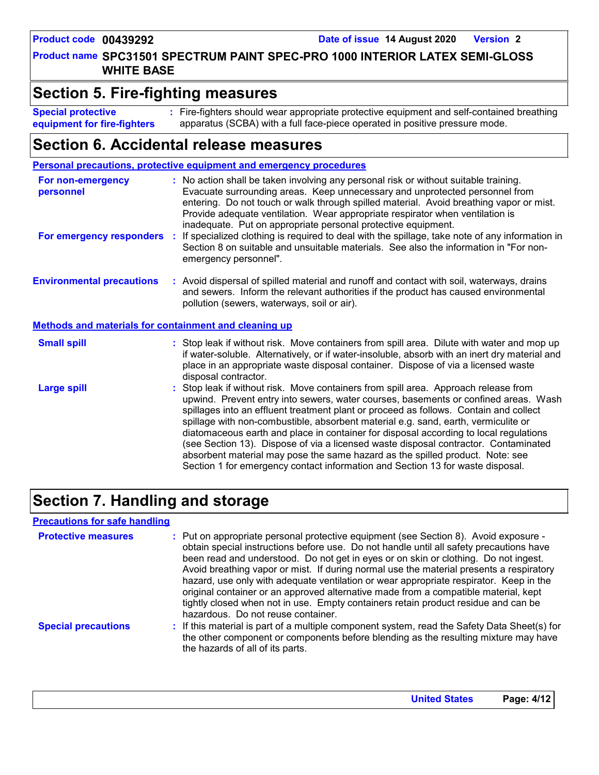**Product name SPC31501 SPECTRUM PAINT SPEC-PRO 1000 INTERIOR LATEX SEMI-GLOSS WHITE BASE**

### **Section 5. Fire-fighting measures**

Fire-fighters should wear appropriate protective equipment and self-contained breathing **:** apparatus (SCBA) with a full face-piece operated in positive pressure mode. **Special protective equipment for fire-fighters**

# **Section 6. Accidental release measures**

|                                                              | Personal precautions, protective equipment and emergency procedures                                                                                                                                                                                                                                                                                                                                                                                                                                                                                                                                                                                                                                          |
|--------------------------------------------------------------|--------------------------------------------------------------------------------------------------------------------------------------------------------------------------------------------------------------------------------------------------------------------------------------------------------------------------------------------------------------------------------------------------------------------------------------------------------------------------------------------------------------------------------------------------------------------------------------------------------------------------------------------------------------------------------------------------------------|
| For non-emergency<br>personnel                               | : No action shall be taken involving any personal risk or without suitable training.<br>Evacuate surrounding areas. Keep unnecessary and unprotected personnel from<br>entering. Do not touch or walk through spilled material. Avoid breathing vapor or mist.<br>Provide adequate ventilation. Wear appropriate respirator when ventilation is<br>inadequate. Put on appropriate personal protective equipment.                                                                                                                                                                                                                                                                                             |
| For emergency responders :                                   | If specialized clothing is required to deal with the spillage, take note of any information in<br>Section 8 on suitable and unsuitable materials. See also the information in "For non-<br>emergency personnel".                                                                                                                                                                                                                                                                                                                                                                                                                                                                                             |
| <b>Environmental precautions</b>                             | : Avoid dispersal of spilled material and runoff and contact with soil, waterways, drains<br>and sewers. Inform the relevant authorities if the product has caused environmental<br>pollution (sewers, waterways, soil or air).                                                                                                                                                                                                                                                                                                                                                                                                                                                                              |
| <b>Methods and materials for containment and cleaning up</b> |                                                                                                                                                                                                                                                                                                                                                                                                                                                                                                                                                                                                                                                                                                              |
| <b>Small spill</b>                                           | : Stop leak if without risk. Move containers from spill area. Dilute with water and mop up<br>if water-soluble. Alternatively, or if water-insoluble, absorb with an inert dry material and<br>place in an appropriate waste disposal container. Dispose of via a licensed waste<br>disposal contractor.                                                                                                                                                                                                                                                                                                                                                                                                     |
| <b>Large spill</b>                                           | : Stop leak if without risk. Move containers from spill area. Approach release from<br>upwind. Prevent entry into sewers, water courses, basements or confined areas. Wash<br>spillages into an effluent treatment plant or proceed as follows. Contain and collect<br>spillage with non-combustible, absorbent material e.g. sand, earth, vermiculite or<br>diatomaceous earth and place in container for disposal according to local regulations<br>(see Section 13). Dispose of via a licensed waste disposal contractor. Contaminated<br>absorbent material may pose the same hazard as the spilled product. Note: see<br>Section 1 for emergency contact information and Section 13 for waste disposal. |

# **Section 7. Handling and storage**

#### **Precautions for safe handling**

| <b>Protective measures</b> | : Put on appropriate personal protective equipment (see Section 8). Avoid exposure -<br>obtain special instructions before use. Do not handle until all safety precautions have<br>been read and understood. Do not get in eyes or on skin or clothing. Do not ingest.<br>Avoid breathing vapor or mist. If during normal use the material presents a respiratory<br>hazard, use only with adequate ventilation or wear appropriate respirator. Keep in the<br>original container or an approved alternative made from a compatible material, kept<br>tightly closed when not in use. Empty containers retain product residue and can be<br>hazardous. Do not reuse container. |
|----------------------------|--------------------------------------------------------------------------------------------------------------------------------------------------------------------------------------------------------------------------------------------------------------------------------------------------------------------------------------------------------------------------------------------------------------------------------------------------------------------------------------------------------------------------------------------------------------------------------------------------------------------------------------------------------------------------------|
| <b>Special precautions</b> | : If this material is part of a multiple component system, read the Safety Data Sheet(s) for<br>the other component or components before blending as the resulting mixture may have<br>the hazards of all of its parts.                                                                                                                                                                                                                                                                                                                                                                                                                                                        |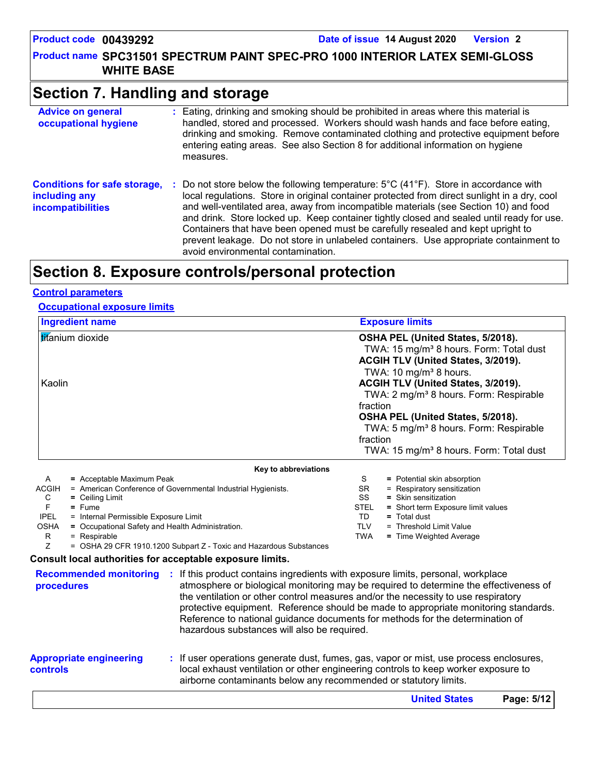**Product name SPC31501 SPECTRUM PAINT SPEC-PRO 1000 INTERIOR LATEX SEMI-GLOSS WHITE BASE**

# **Section 7. Handling and storage**

| <b>Advice on general</b><br>occupational hygiene                                 | : Eating, drinking and smoking should be prohibited in areas where this material is<br>handled, stored and processed. Workers should wash hands and face before eating,<br>drinking and smoking. Remove contaminated clothing and protective equipment before<br>entering eating areas. See also Section 8 for additional information on hygiene<br>measures.                                                                                                                                                                                                                                                    |
|----------------------------------------------------------------------------------|------------------------------------------------------------------------------------------------------------------------------------------------------------------------------------------------------------------------------------------------------------------------------------------------------------------------------------------------------------------------------------------------------------------------------------------------------------------------------------------------------------------------------------------------------------------------------------------------------------------|
| <b>Conditions for safe storage,</b><br>including any<br><b>incompatibilities</b> | Do not store below the following temperature: $5^{\circ}$ C (41 <sup>o</sup> F). Store in accordance with<br>local regulations. Store in original container protected from direct sunlight in a dry, cool<br>and well-ventilated area, away from incompatible materials (see Section 10) and food<br>and drink. Store locked up. Keep container tightly closed and sealed until ready for use.<br>Containers that have been opened must be carefully resealed and kept upright to<br>prevent leakage. Do not store in unlabeled containers. Use appropriate containment to<br>avoid environmental contamination. |

# **Section 8. Exposure controls/personal protection**

#### **Control parameters**

#### **Occupational exposure limits**

| <b>Ingredient name</b>                                                                                         | <b>Exposure limits</b>                              |
|----------------------------------------------------------------------------------------------------------------|-----------------------------------------------------|
| titanium dioxide                                                                                               | OSHA PEL (United States, 5/2018).                   |
|                                                                                                                | TWA: 15 mg/m <sup>3</sup> 8 hours. Form: Total dust |
|                                                                                                                | ACGIH TLV (United States, 3/2019).                  |
|                                                                                                                | TWA: 10 mg/m <sup>3</sup> 8 hours.                  |
| Kaolin                                                                                                         | ACGIH TLV (United States, 3/2019).                  |
|                                                                                                                | TWA: 2 mg/m <sup>3</sup> 8 hours. Form: Respirable  |
|                                                                                                                | fraction                                            |
|                                                                                                                | OSHA PEL (United States, 5/2018).                   |
|                                                                                                                |                                                     |
|                                                                                                                | TWA: 5 mg/m <sup>3</sup> 8 hours. Form: Respirable  |
|                                                                                                                | fraction                                            |
|                                                                                                                | TWA: 15 mg/m <sup>3</sup> 8 hours. Form: Total dust |
| Key to abbreviations                                                                                           |                                                     |
| A<br>= Acceptable Maximum Peak                                                                                 | S<br>= Potential skin absorption                    |
| <b>ACGIH</b><br>= American Conference of Governmental Industrial Hygienists.                                   | = Respiratory sensitization<br>SR.                  |
| C<br>$=$ Ceiling Limit                                                                                         | SS<br>$=$ Skin sensitization                        |
| F<br>$=$ Fume                                                                                                  | <b>STEL</b><br>= Short term Exposure limit values   |
| <b>IPEL</b><br>= Internal Permissible Exposure Limit                                                           | TD.<br>$=$ Total dust                               |
| = Occupational Safety and Health Administration.<br><b>OSHA</b>                                                | <b>TLV</b><br>= Threshold Limit Value               |
| R.<br>= Respirable                                                                                             | <b>TWA</b><br>= Time Weighted Average               |
| Z<br>= OSHA 29 CFR 1910.1200 Subpart Z - Toxic and Hazardous Substances                                        |                                                     |
| Consult local authorities for acceptable exposure limits.                                                      |                                                     |
| <b>Recommended monitoring : If this product contains ingredients with exposure limits, personal, workplace</b> |                                                     |

| <b>Appropriate engineering</b> | Reference to national guidance documents for methods for the determination of<br>hazardous substances will also be required.<br>: If user operations generate dust, fumes, gas, vapor or mist, use process enclosures, |
|--------------------------------|------------------------------------------------------------------------------------------------------------------------------------------------------------------------------------------------------------------------|
| <b>controls</b>                | local exhaust ventilation or other engineering controls to keep worker exposure to<br>airborne contaminants below any recommended or statutory limits.                                                                 |
|                                |                                                                                                                                                                                                                        |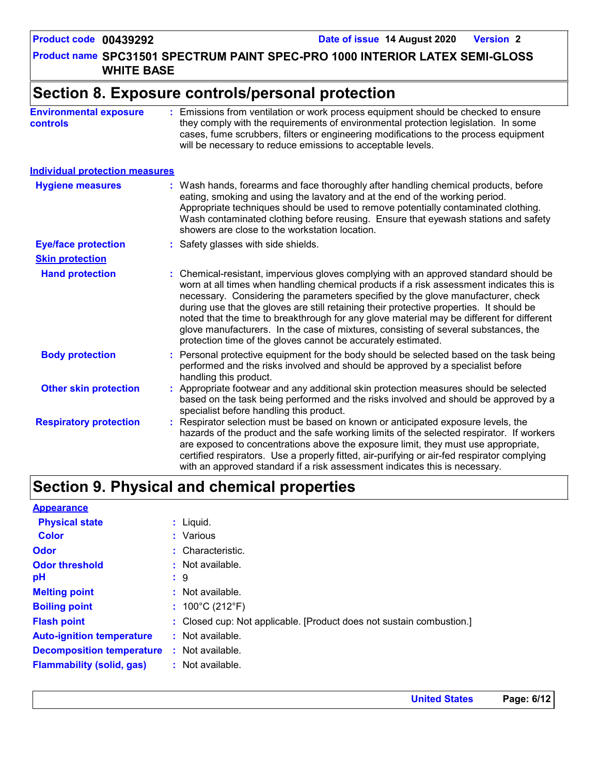**Product name SPC31501 SPECTRUM PAINT SPEC-PRO 1000 INTERIOR LATEX SEMI-GLOSS WHITE BASE**

# **Section 8. Exposure controls/personal protection**

| <b>Environmental exposure</b> | : Emissions from ventilation or work process equipment should be checked to ensure   |
|-------------------------------|--------------------------------------------------------------------------------------|
| <b>controls</b>               | they comply with the requirements of environmental protection legislation. In some   |
|                               | cases, fume scrubbers, filters or engineering modifications to the process equipment |
|                               | will be necessary to reduce emissions to acceptable levels.                          |

#### **Individual protection measures**

| <b>Hygiene measures</b>       | : Wash hands, forearms and face thoroughly after handling chemical products, before<br>eating, smoking and using the lavatory and at the end of the working period.<br>Appropriate techniques should be used to remove potentially contaminated clothing.<br>Wash contaminated clothing before reusing. Ensure that eyewash stations and safety<br>showers are close to the workstation location.                                                                                                                                                                                                                      |
|-------------------------------|------------------------------------------------------------------------------------------------------------------------------------------------------------------------------------------------------------------------------------------------------------------------------------------------------------------------------------------------------------------------------------------------------------------------------------------------------------------------------------------------------------------------------------------------------------------------------------------------------------------------|
| <b>Eye/face protection</b>    | : Safety glasses with side shields.                                                                                                                                                                                                                                                                                                                                                                                                                                                                                                                                                                                    |
| <b>Skin protection</b>        |                                                                                                                                                                                                                                                                                                                                                                                                                                                                                                                                                                                                                        |
| <b>Hand protection</b>        | : Chemical-resistant, impervious gloves complying with an approved standard should be<br>worn at all times when handling chemical products if a risk assessment indicates this is<br>necessary. Considering the parameters specified by the glove manufacturer, check<br>during use that the gloves are still retaining their protective properties. It should be<br>noted that the time to breakthrough for any glove material may be different for different<br>glove manufacturers. In the case of mixtures, consisting of several substances, the<br>protection time of the gloves cannot be accurately estimated. |
| <b>Body protection</b>        | : Personal protective equipment for the body should be selected based on the task being<br>performed and the risks involved and should be approved by a specialist before<br>handling this product.                                                                                                                                                                                                                                                                                                                                                                                                                    |
| <b>Other skin protection</b>  | : Appropriate footwear and any additional skin protection measures should be selected<br>based on the task being performed and the risks involved and should be approved by a<br>specialist before handling this product.                                                                                                                                                                                                                                                                                                                                                                                              |
| <b>Respiratory protection</b> | : Respirator selection must be based on known or anticipated exposure levels, the<br>hazards of the product and the safe working limits of the selected respirator. If workers<br>are exposed to concentrations above the exposure limit, they must use appropriate,<br>certified respirators. Use a properly fitted, air-purifying or air-fed respirator complying<br>with an approved standard if a risk assessment indicates this is necessary.                                                                                                                                                                     |

# **Section 9. Physical and chemical properties**

| <b>Appearance</b>                |                                                                      |
|----------------------------------|----------------------------------------------------------------------|
| <b>Physical state</b>            | $:$ Liquid.                                                          |
| <b>Color</b>                     | : Various                                                            |
| <b>Odor</b>                      | : Characteristic.                                                    |
| <b>Odor threshold</b>            | $\cdot$ Not available.                                               |
| рH                               | $\therefore$ 9                                                       |
| <b>Melting point</b>             | : Not available.                                                     |
| <b>Boiling point</b>             | : $100^{\circ}$ C (212 $^{\circ}$ F)                                 |
| <b>Flash point</b>               | : Closed cup: Not applicable. [Product does not sustain combustion.] |
| <b>Auto-ignition temperature</b> | $:$ Not available.                                                   |
| <b>Decomposition temperature</b> | : Not available.                                                     |
| <b>Flammability (solid, gas)</b> | : Not available.                                                     |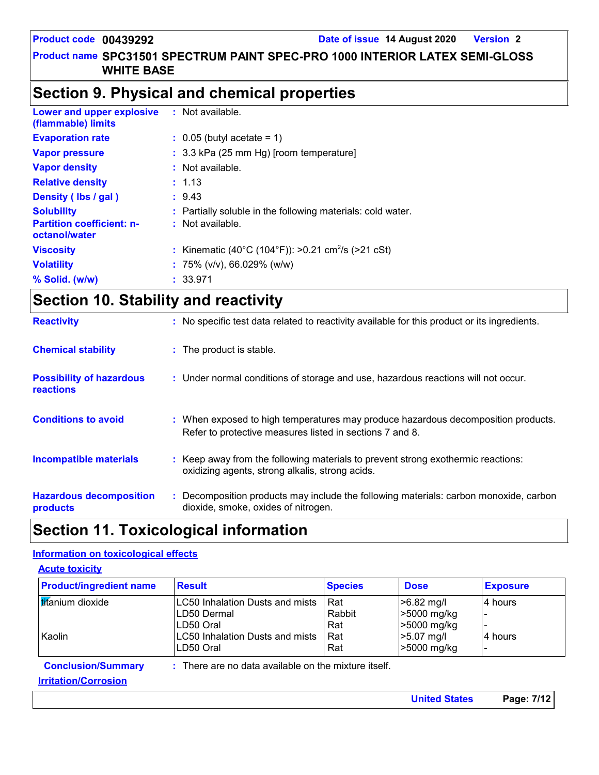# **Section 9. Physical and chemical properties**

| Lower and upper explosive<br>(flammable) limits   | : Not available.                                               |
|---------------------------------------------------|----------------------------------------------------------------|
| <b>Evaporation rate</b>                           | $\therefore$ 0.05 (butyl acetate = 1)                          |
| <b>Vapor pressure</b>                             | : 3.3 kPa (25 mm Hg) [room temperature]                        |
| <b>Vapor density</b>                              | : Not available.                                               |
| <b>Relative density</b>                           | : 1.13                                                         |
| Density (lbs / gal)                               | : 9.43                                                         |
| <b>Solubility</b>                                 | : Partially soluble in the following materials: cold water.    |
| <b>Partition coefficient: n-</b><br>octanol/water | : Not available.                                               |
| <b>Viscosity</b>                                  | : Kinematic (40°C (104°F)): >0.21 cm <sup>2</sup> /s (>21 cSt) |
| <b>Volatility</b>                                 | : 75% ( $v/v$ ), 66.029% ( $w/w$ )                             |
| $%$ Solid. (w/w)                                  | : 33.971                                                       |

# **Section 10. Stability and reactivity**

| <b>Reactivity</b>                                   | : No specific test data related to reactivity available for this product or its ingredients.                                                  |
|-----------------------------------------------------|-----------------------------------------------------------------------------------------------------------------------------------------------|
| <b>Chemical stability</b>                           | : The product is stable.                                                                                                                      |
| <b>Possibility of hazardous</b><br><b>reactions</b> | : Under normal conditions of storage and use, hazardous reactions will not occur.                                                             |
| <b>Conditions to avoid</b>                          | : When exposed to high temperatures may produce hazardous decomposition products.<br>Refer to protective measures listed in sections 7 and 8. |
| <b>Incompatible materials</b>                       | Keep away from the following materials to prevent strong exothermic reactions:<br>oxidizing agents, strong alkalis, strong acids.             |
| <b>Hazardous decomposition</b><br>products          | Decomposition products may include the following materials: carbon monoxide, carbon<br>dioxide, smoke, oxides of nitrogen.                    |

# **Section 11. Toxicological information**

#### **Information on toxicological effects**

| <b>Product/ingredient name</b> | <b>Result</b>                                          | <b>Species</b> | <b>Dose</b>          | <b>Exposure</b> |
|--------------------------------|--------------------------------------------------------|----------------|----------------------|-----------------|
| titanium dioxide               | LC50 Inhalation Dusts and mists                        | Rat            | >6.82 mg/l           | 4 hours         |
|                                | LD50 Dermal                                            | Rabbit         | >5000 mg/kg          |                 |
|                                | LD50 Oral                                              | Rat            | >5000 mg/kg          |                 |
| Kaolin                         | <b>LC50 Inhalation Dusts and mists</b>                 | Rat            | $>5.07$ mg/l         | 4 hours         |
|                                | LD50 Oral                                              | Rat            | >5000 mg/kg          |                 |
| <b>Conclusion/Summary</b>      | $:$ There are no data available on the mixture itself. |                |                      |                 |
| <b>Irritation/Corrosion</b>    |                                                        |                |                      |                 |
|                                |                                                        |                | <b>United States</b> | Page: 7/12      |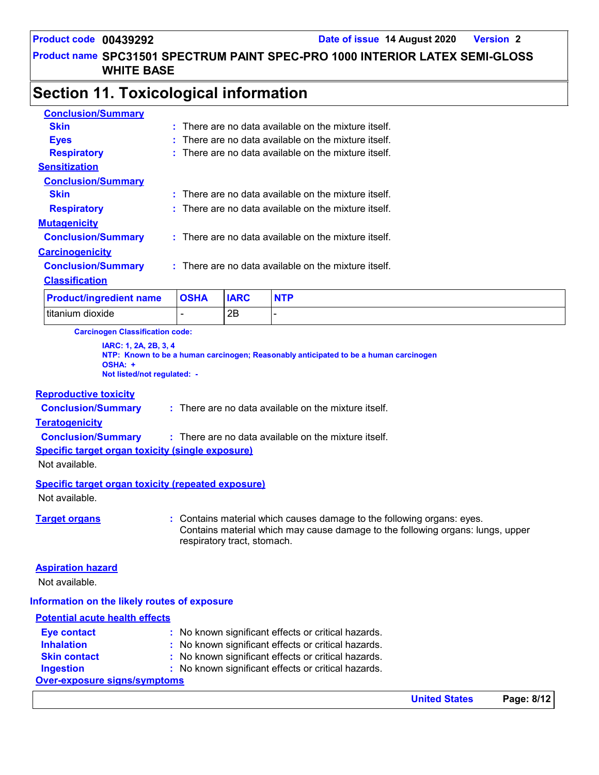# **Section 11. Toxicological information**

| <b>Conclusion/Summary</b>                                       |             |             |                                                                                |
|-----------------------------------------------------------------|-------------|-------------|--------------------------------------------------------------------------------|
| <b>Skin</b>                                                     |             |             | There are no data available on the mixture itself.                             |
| <b>Eyes</b>                                                     |             |             | There are no data available on the mixture itself.                             |
| <b>Respiratory</b>                                              |             |             | There are no data available on the mixture itself.                             |
| <b>Sensitization</b>                                            |             |             |                                                                                |
| <b>Conclusion/Summary</b>                                       |             |             |                                                                                |
| <b>Skin</b>                                                     |             |             | $:$ There are no data available on the mixture itself.                         |
| <b>Respiratory</b>                                              |             |             | $:$ There are no data available on the mixture itself.                         |
| <b>Mutagenicity</b>                                             |             |             |                                                                                |
| <b>Conclusion/Summary</b>                                       |             |             | $:$ There are no data available on the mixture itself.                         |
| <b>Carcinogenicity</b>                                          |             |             |                                                                                |
| <b>Conclusion/Summary</b>                                       |             |             | $\therefore$ There are no data available on the mixture itself.                |
| <b>Classification</b>                                           |             |             |                                                                                |
| <b>Product/ingredient name</b>                                  | <b>OSHA</b> | <b>IARC</b> | <b>NTP</b>                                                                     |
| titanium dioxide                                                |             | 2B          |                                                                                |
| <b>Carcinogen Classification code:</b><br>IARC: 1, 2A, 2B, 3, 4 |             |             |                                                                                |
|                                                                 |             |             | NTD . Kaanna ta ka a kuman aanahaanan Daaaanakhi antiainatad ta ka a kuman aan |

**NTP: Known to be a human carcinogen; Reasonably anticipated to be a human carcinogen OSHA: + Not listed/not regulated: -**

#### **Reproductive toxicity**

**Conclusion/Summary :** There are no data available on the mixture itself.

#### **Teratogenicity**

- **Conclusion/Summary :** There are no data available on the mixture itself.
- **Specific target organ toxicity (single exposure)**

Not available.

```
Specific target organ toxicity (repeated exposure)
```
Not available.

**Target organs :** Contains material which causes damage to the following organs: eyes. Contains material which may cause damage to the following organs: lungs, upper respiratory tract, stomach.

#### **Aspiration hazard**

Not available.

#### **Information on the likely routes of exposure**

#### **Potential acute health effects**

| <b>Eye contact</b>                  | : No known significant effects or critical hazards. |
|-------------------------------------|-----------------------------------------------------|
| <b>Inhalation</b>                   | : No known significant effects or critical hazards. |
| <b>Skin contact</b>                 | : No known significant effects or critical hazards. |
| <b>Ingestion</b>                    | : No known significant effects or critical hazards. |
| <b>Over-exposure signs/symptoms</b> |                                                     |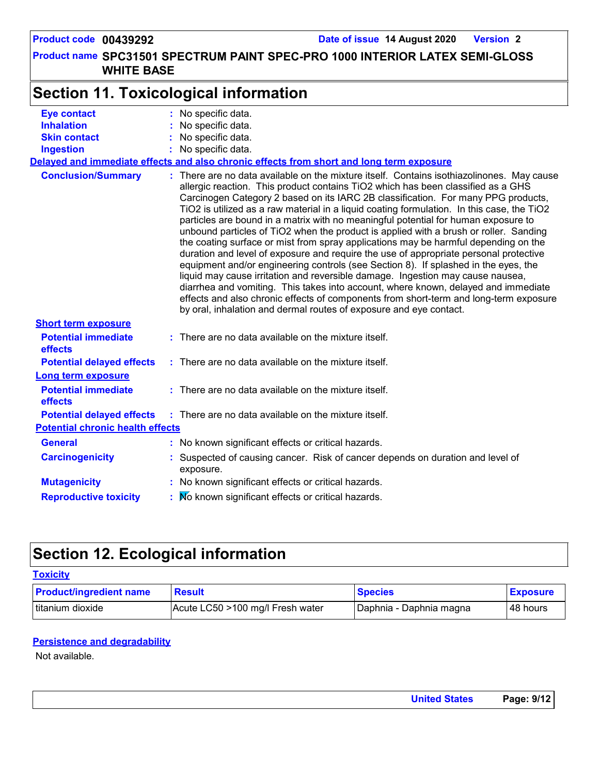# **Section 11. Toxicological information**

| <b>Eye contact</b>                           | : No specific data.                                                                                                                                                                                                                                                                                                                                                                                                                                                                                                                                                                                                                                                                                                                                                                                                                                                                                                                                                                                                                                                                                                                                           |
|----------------------------------------------|---------------------------------------------------------------------------------------------------------------------------------------------------------------------------------------------------------------------------------------------------------------------------------------------------------------------------------------------------------------------------------------------------------------------------------------------------------------------------------------------------------------------------------------------------------------------------------------------------------------------------------------------------------------------------------------------------------------------------------------------------------------------------------------------------------------------------------------------------------------------------------------------------------------------------------------------------------------------------------------------------------------------------------------------------------------------------------------------------------------------------------------------------------------|
| <b>Inhalation</b>                            | : No specific data.                                                                                                                                                                                                                                                                                                                                                                                                                                                                                                                                                                                                                                                                                                                                                                                                                                                                                                                                                                                                                                                                                                                                           |
| <b>Skin contact</b>                          | No specific data.                                                                                                                                                                                                                                                                                                                                                                                                                                                                                                                                                                                                                                                                                                                                                                                                                                                                                                                                                                                                                                                                                                                                             |
| <b>Ingestion</b>                             | : No specific data.                                                                                                                                                                                                                                                                                                                                                                                                                                                                                                                                                                                                                                                                                                                                                                                                                                                                                                                                                                                                                                                                                                                                           |
|                                              | Delayed and immediate effects and also chronic effects from short and long term exposure                                                                                                                                                                                                                                                                                                                                                                                                                                                                                                                                                                                                                                                                                                                                                                                                                                                                                                                                                                                                                                                                      |
| <b>Conclusion/Summary</b>                    | : There are no data available on the mixture itself. Contains isothiazolinones. May cause<br>allergic reaction. This product contains TiO2 which has been classified as a GHS<br>Carcinogen Category 2 based on its IARC 2B classification. For many PPG products,<br>TiO2 is utilized as a raw material in a liquid coating formulation. In this case, the TiO2<br>particles are bound in a matrix with no meaningful potential for human exposure to<br>unbound particles of TiO2 when the product is applied with a brush or roller. Sanding<br>the coating surface or mist from spray applications may be harmful depending on the<br>duration and level of exposure and require the use of appropriate personal protective<br>equipment and/or engineering controls (see Section 8). If splashed in the eyes, the<br>liquid may cause irritation and reversible damage. Ingestion may cause nausea,<br>diarrhea and vomiting. This takes into account, where known, delayed and immediate<br>effects and also chronic effects of components from short-term and long-term exposure<br>by oral, inhalation and dermal routes of exposure and eye contact. |
| <b>Short term exposure</b>                   |                                                                                                                                                                                                                                                                                                                                                                                                                                                                                                                                                                                                                                                                                                                                                                                                                                                                                                                                                                                                                                                                                                                                                               |
| <b>Potential immediate</b><br>effects        | : There are no data available on the mixture itself.                                                                                                                                                                                                                                                                                                                                                                                                                                                                                                                                                                                                                                                                                                                                                                                                                                                                                                                                                                                                                                                                                                          |
| <b>Potential delayed effects</b>             | : There are no data available on the mixture itself.                                                                                                                                                                                                                                                                                                                                                                                                                                                                                                                                                                                                                                                                                                                                                                                                                                                                                                                                                                                                                                                                                                          |
| Long term exposure                           |                                                                                                                                                                                                                                                                                                                                                                                                                                                                                                                                                                                                                                                                                                                                                                                                                                                                                                                                                                                                                                                                                                                                                               |
| <b>Potential immediate</b><br><b>effects</b> | $:$ There are no data available on the mixture itself.                                                                                                                                                                                                                                                                                                                                                                                                                                                                                                                                                                                                                                                                                                                                                                                                                                                                                                                                                                                                                                                                                                        |
| <b>Potential delayed effects</b>             | : There are no data available on the mixture itself.                                                                                                                                                                                                                                                                                                                                                                                                                                                                                                                                                                                                                                                                                                                                                                                                                                                                                                                                                                                                                                                                                                          |
| <b>Potential chronic health effects</b>      |                                                                                                                                                                                                                                                                                                                                                                                                                                                                                                                                                                                                                                                                                                                                                                                                                                                                                                                                                                                                                                                                                                                                                               |
| <b>General</b>                               | : No known significant effects or critical hazards.                                                                                                                                                                                                                                                                                                                                                                                                                                                                                                                                                                                                                                                                                                                                                                                                                                                                                                                                                                                                                                                                                                           |
| <b>Carcinogenicity</b>                       | : Suspected of causing cancer. Risk of cancer depends on duration and level of<br>exposure.                                                                                                                                                                                                                                                                                                                                                                                                                                                                                                                                                                                                                                                                                                                                                                                                                                                                                                                                                                                                                                                                   |
| <b>Mutagenicity</b>                          | : No known significant effects or critical hazards.                                                                                                                                                                                                                                                                                                                                                                                                                                                                                                                                                                                                                                                                                                                                                                                                                                                                                                                                                                                                                                                                                                           |
| <b>Reproductive toxicity</b>                 | : No known significant effects or critical hazards.                                                                                                                                                                                                                                                                                                                                                                                                                                                                                                                                                                                                                                                                                                                                                                                                                                                                                                                                                                                                                                                                                                           |
|                                              |                                                                                                                                                                                                                                                                                                                                                                                                                                                                                                                                                                                                                                                                                                                                                                                                                                                                                                                                                                                                                                                                                                                                                               |

# **Section 12. Ecological information**

#### **Toxicity**

| <b>Product/ingredient name</b> | <b>Result</b>                    | <b>Species</b>          | <b>Exposure</b> |
|--------------------------------|----------------------------------|-------------------------|-----------------|
| titanium dioxide               | Acute LC50 >100 mg/l Fresh water | Daphnia - Daphnia magna | l 48 hours      |

#### **Persistence and degradability**

Not available.

| <b>United States</b> | Page: 9/12 |
|----------------------|------------|
|----------------------|------------|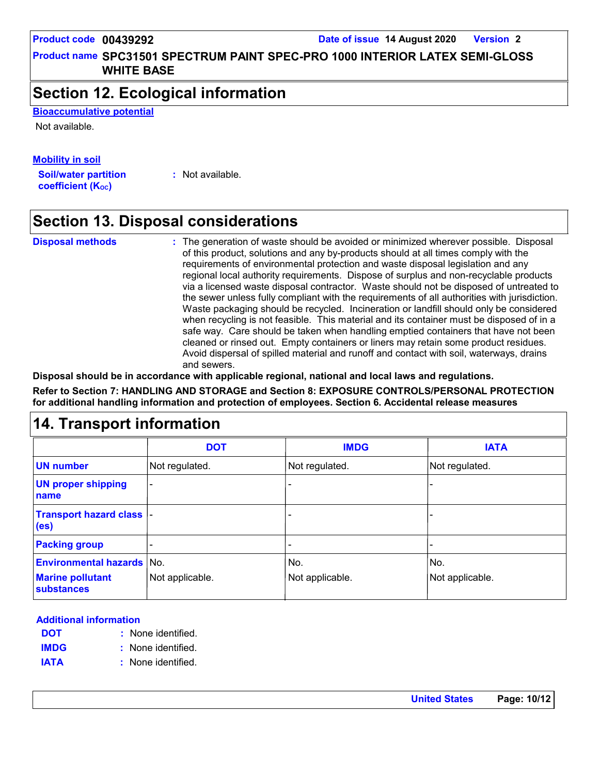**Product name SPC31501 SPECTRUM PAINT SPEC-PRO 1000 INTERIOR LATEX SEMI-GLOSS WHITE BASE**

### **Section 12. Ecological information**

**Bioaccumulative potential**

Not available.

#### **Mobility in soil**

**Soil/water partition coefficient (KOC)**

**:** Not available.

# **Section 13. Disposal considerations**

**Disposal methods :**

The generation of waste should be avoided or minimized wherever possible. Disposal of this product, solutions and any by-products should at all times comply with the requirements of environmental protection and waste disposal legislation and any regional local authority requirements. Dispose of surplus and non-recyclable products via a licensed waste disposal contractor. Waste should not be disposed of untreated to the sewer unless fully compliant with the requirements of all authorities with jurisdiction. Waste packaging should be recycled. Incineration or landfill should only be considered when recycling is not feasible. This material and its container must be disposed of in a safe way. Care should be taken when handling emptied containers that have not been cleaned or rinsed out. Empty containers or liners may retain some product residues. Avoid dispersal of spilled material and runoff and contact with soil, waterways, drains and sewers.

**Disposal should be in accordance with applicable regional, national and local laws and regulations.**

**Refer to Section 7: HANDLING AND STORAGE and Section 8: EXPOSURE CONTROLS/PERSONAL PROTECTION for additional handling information and protection of employees. Section 6. Accidental release measures**

### **14. Transport information**

|                                                | <b>DOT</b>               | <b>IMDG</b>     | <b>IATA</b>     |  |
|------------------------------------------------|--------------------------|-----------------|-----------------|--|
| <b>UN number</b>                               | Not regulated.           | Not regulated.  | Not regulated.  |  |
| <b>UN proper shipping</b><br>name              | $\overline{\phantom{a}}$ |                 |                 |  |
| Transport hazard class  -<br>(e <sub>s</sub> ) |                          |                 |                 |  |
| <b>Packing group</b>                           |                          |                 |                 |  |
| <b>Environmental hazards No.</b>               |                          | No.             | No.             |  |
| <b>Marine pollutant</b><br>substances          | Not applicable.          | Not applicable. | Not applicable. |  |

#### **Additional information**

- None identified. **: DOT**
- None identified. **: IMDG**
- **IATA :** None identified.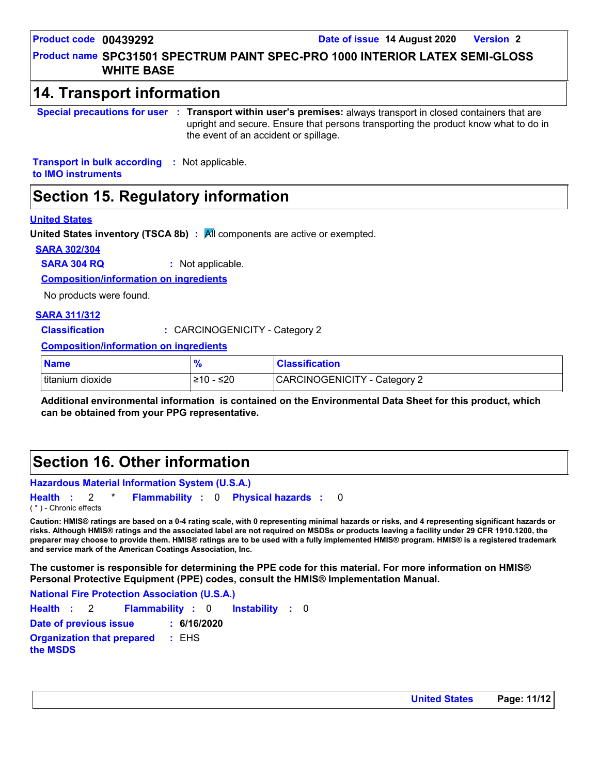#### **Product name SPC31501 SPECTRUM PAINT SPEC-PRO 1000 INTERIOR LATEX SEMI-GLOSS WHITE BASE**

### **14. Transport information**

**Special precautions for user Transport within user's premises:** always transport in closed containers that are **:** upright and secure. Ensure that persons transporting the product know what to do in the event of an accident or spillage.

**Transport in bulk according :** Not applicable. **to IMO instruments**

# **Section 15. Regulatory information**

#### **United States**

**United States inventory (TSCA 8b) :** All components are active or exempted.

#### **SARA 302/304**

**SARA 304 RQ :** Not applicable.

**Composition/information on ingredients**

No products were found.

#### **SARA 311/312**

**Classification :** CARCINOGENICITY - Category 2

**Composition/information on ingredients**

| <b>Name</b>        | 70                  | <b>Classification</b>        |
|--------------------|---------------------|------------------------------|
| I titanium dioxide | ≤20<br>51 N<br>∠ ∣∪ | CARCINOGENICITY - Category 2 |

**Additional environmental information is contained on the Environmental Data Sheet for this product, which can be obtained from your PPG representative.**

### **Section 16. Other information**

**Hazardous Material Information System (U.S.A.) Health** : 2 \* **Flammability** : 0 **Physical hazards** : 0 0 ( \* ) - Chronic effects

**Caution: HMIS® ratings are based on a 0-4 rating scale, with 0 representing minimal hazards or risks, and 4 representing significant hazards or risks. Although HMIS® ratings and the associated label are not required on MSDSs or products leaving a facility under 29 CFR 1910.1200, the preparer may choose to provide them. HMIS® ratings are to be used with a fully implemented HMIS® program. HMIS® is a registered trademark and service mark of the American Coatings Association, Inc.**

**The customer is responsible for determining the PPE code for this material. For more information on HMIS® Personal Protective Equipment (PPE) codes, consult the HMIS® Implementation Manual.**

**Instability** : 0 **National Fire Protection Association (U.S.A.) Health**: 2 **Flammability**: 0 **Instability**: 0 **Date of previous issue : 6/16/2020 Organization that prepared the MSDS :** EHS